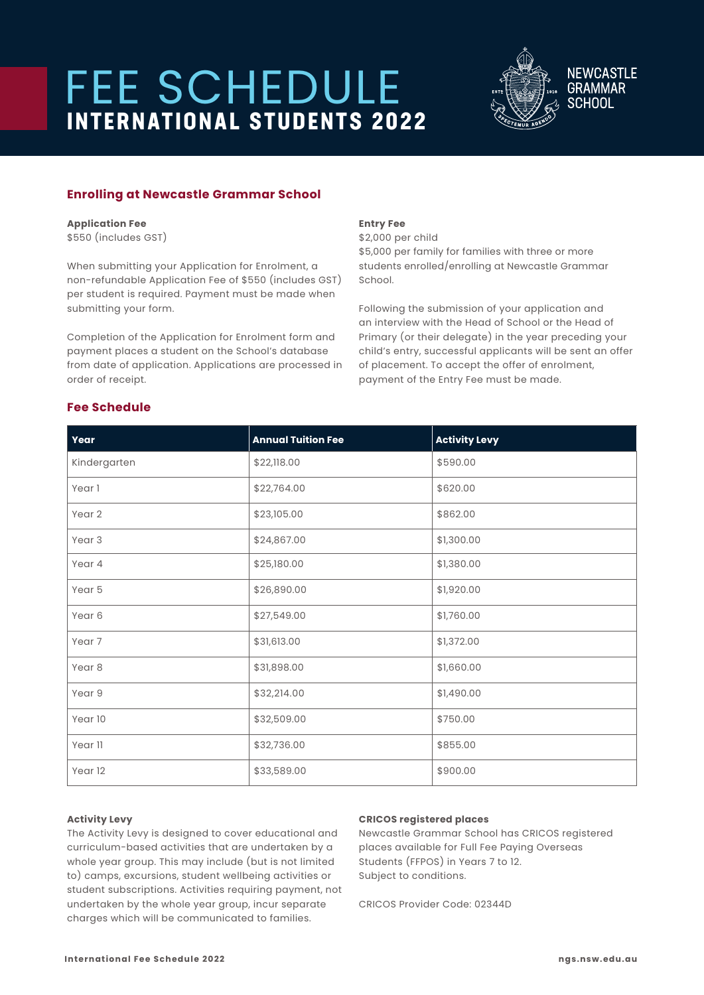# **FEE SCHEDULE<br>
INTERNATIONAL STUDENTS 2022**



**NEWCASTLE GRAMMAR SCHOOL** 

# **Enrolling at Newcastle Grammar School**

# **Application Fee**

\$550 (includes GST)

When submitting your Application for Enrolment, a non-refundable Application Fee of \$550 (includes GST) per student is required. Payment must be made when submitting your form.

Completion of the Application for Enrolment form and payment places a student on the School's database from date of application. Applications are processed in order of receipt.

# **Entry Fee**

\$2,000 per child \$5,000 per family for families with three or more students enrolled/enrolling at Newcastle Grammar School.

Following the submission of your application and an interview with the Head of School or the Head of Primary (or their delegate) in the year preceding your child's entry, successful applicants will be sent an offer of placement. To accept the offer of enrolment, payment of the Entry Fee must be made.

| Year              | <b>Annual Tuition Fee</b> | <b>Activity Levy</b> |
|-------------------|---------------------------|----------------------|
| Kindergarten      | \$22,118.00               | \$590.00             |
| Year 1            | \$22,764.00               | \$620.00             |
| Year 2            | \$23,105.00               | \$862.00             |
| Year <sub>3</sub> | \$24,867.00               | \$1,300.00           |
| Year 4            | \$25,180.00               | \$1,380.00           |
| Year 5            | \$26,890.00               | \$1,920.00           |
| Year 6            | \$27,549.00               | \$1,760.00           |
| Year 7            | \$31,613.00               | \$1,372.00           |
| Year <sub>8</sub> | \$31,898.00               | \$1,660.00           |
| Year 9            | \$32,214.00               | \$1,490.00           |
| Year 10           | \$32,509.00               | \$750.00             |
| Year 11           | \$32,736.00               | \$855.00             |
| Year 12           | \$33,589.00               | \$900.00             |

# **Fee Schedule**

### **Activity Levy**

The Activity Levy is designed to cover educational and curriculum-based activities that are undertaken by a whole year group. This may include (but is not limited to) camps, excursions, student wellbeing activities or student subscriptions. Activities requiring payment, not undertaken by the whole year group, incur separate charges which will be communicated to families.

### **CRICOS registered places**

Newcastle Grammar School has CRICOS registered places available for Full Fee Paying Overseas Students (FFPOS) in Years 7 to 12. Subject to conditions.

CRICOS Provider Code: 02344D